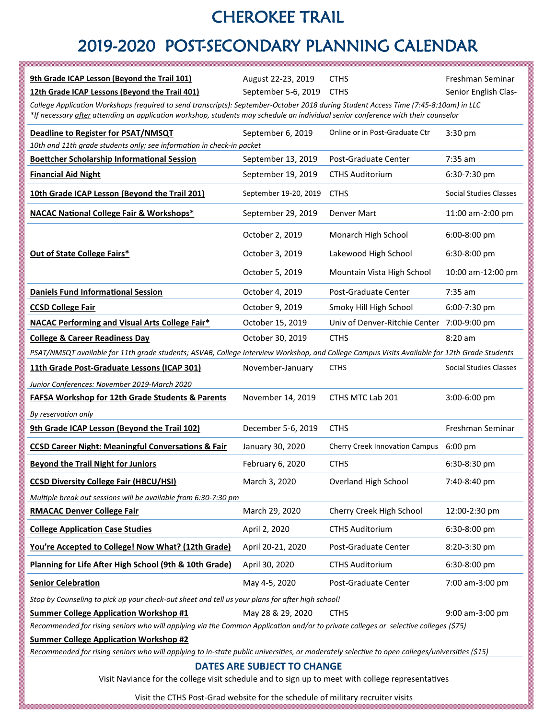## CHEROKEE TRAIL

# 2019-2020 POST-SECONDARY PLANNING CALENDAR

| 9th Grade ICAP Lesson (Beyond the Trail 101)                                                                                                                                                                                                                              | August 22-23, 2019    | <b>CTHS</b>                                | Freshman Seminar       |  |
|---------------------------------------------------------------------------------------------------------------------------------------------------------------------------------------------------------------------------------------------------------------------------|-----------------------|--------------------------------------------|------------------------|--|
| 12th Grade ICAP Lessons (Beyond the Trail 401)                                                                                                                                                                                                                            | September 5-6, 2019   | <b>CTHS</b>                                | Senior English Clas-   |  |
| College Application Workshops (required to send transcripts): September-October 2018 during Student Access Time (7:45-8:10am) in LLC<br>*If necessary after attending an application workshop, students may schedule an individual senior conference with their counselor |                       |                                            |                        |  |
| <b>Deadline to Register for PSAT/NMSQT</b>                                                                                                                                                                                                                                | September 6, 2019     | Online or in Post-Graduate Ctr             | 3:30 pm                |  |
| 10th and 11th grade students only; see information in check-in packet                                                                                                                                                                                                     |                       |                                            |                        |  |
| <b>Boettcher Scholarship Informational Session</b>                                                                                                                                                                                                                        | September 13, 2019    | Post-Graduate Center                       | $7:35$ am              |  |
| <b>Financial Aid Night</b>                                                                                                                                                                                                                                                | September 19, 2019    | <b>CTHS Auditorium</b>                     | 6:30-7:30 pm           |  |
| 10th Grade ICAP Lesson (Beyond the Trail 201)                                                                                                                                                                                                                             | September 19-20, 2019 | <b>CTHS</b>                                | Social Studies Classes |  |
| <b>NACAC National College Fair &amp; Workshops*</b>                                                                                                                                                                                                                       | September 29, 2019    | Denver Mart                                | 11:00 am-2:00 pm       |  |
|                                                                                                                                                                                                                                                                           | October 2, 2019       | Monarch High School                        | $6:00-8:00$ pm         |  |
| <b>Out of State College Fairs*</b>                                                                                                                                                                                                                                        | October 3, 2019       | Lakewood High School                       | 6:30-8:00 pm           |  |
|                                                                                                                                                                                                                                                                           | October 5, 2019       | Mountain Vista High School                 | 10:00 am-12:00 pm      |  |
| <b>Daniels Fund Informational Session</b>                                                                                                                                                                                                                                 | October 4, 2019       | Post-Graduate Center                       | $7:35$ am              |  |
| <b>CCSD College Fair</b>                                                                                                                                                                                                                                                  | October 9, 2019       | Smoky Hill High School                     | 6:00-7:30 pm           |  |
| <b>NACAC Performing and Visual Arts College Fair*</b>                                                                                                                                                                                                                     | October 15, 2019      | Univ of Denver-Ritchie Center 7:00-9:00 pm |                        |  |
| <b>College &amp; Career Readiness Day</b>                                                                                                                                                                                                                                 | October 30, 2019      | <b>CTHS</b>                                | $8:20$ am              |  |
| PSAT/NMSQT available for 11th grade students; ASVAB, College Interview Workshop, and College Campus Visits Available for 12th Grade Students                                                                                                                              |                       |                                            |                        |  |
| 11th Grade Post-Graduate Lessons (ICAP 301)                                                                                                                                                                                                                               | November-January      | <b>CTHS</b>                                | Social Studies Classes |  |
| Junior Conferences: November 2019-March 2020                                                                                                                                                                                                                              |                       |                                            |                        |  |
| <b>FAFSA Workshop for 12th Grade Students &amp; Parents</b>                                                                                                                                                                                                               | November 14, 2019     | CTHS MTC Lab 201                           | 3:00-6:00 pm           |  |
| By reservation only                                                                                                                                                                                                                                                       |                       |                                            |                        |  |
| 9th Grade ICAP Lesson (Beyond the Trail 102)                                                                                                                                                                                                                              | December 5-6, 2019    | <b>CTHS</b>                                | Freshman Seminar       |  |
| <b>CCSD Career Night: Meaningful Conversations &amp; Fair</b>                                                                                                                                                                                                             | January 30, 2020      | Cherry Creek Innovation Campus 6:00 pm     |                        |  |
| <b>Beyond the Trail Night for Juniors</b>                                                                                                                                                                                                                                 | February 6, 2020      | <b>CTHS</b>                                | 6:30-8:30 pm           |  |
| <b>CCSD Diversity College Fair (HBCU/HSI)</b>                                                                                                                                                                                                                             | March 3, 2020         | Overland High School                       | 7:40-8:40 pm           |  |
| Multiple break out sessions will be available from 6:30-7:30 pm                                                                                                                                                                                                           |                       |                                            |                        |  |
| <b>RMACAC Denver College Fair</b>                                                                                                                                                                                                                                         | March 29, 2020        | Cherry Creek High School                   | 12:00-2:30 pm          |  |
| <b>College Application Case Studies</b>                                                                                                                                                                                                                                   | April 2, 2020         | <b>CTHS Auditorium</b>                     | 6:30-8:00 pm           |  |
| You're Accepted to College! Now What? (12th Grade)                                                                                                                                                                                                                        | April 20-21, 2020     | Post-Graduate Center                       | 8:20-3:30 pm           |  |
| Planning for Life After High School (9th & 10th Grade)                                                                                                                                                                                                                    | April 30, 2020        | <b>CTHS Auditorium</b>                     | 6:30-8:00 pm           |  |
| <b>Senior Celebration</b>                                                                                                                                                                                                                                                 | May 4-5, 2020         | Post-Graduate Center                       | 7:00 am-3:00 pm        |  |
| Stop by Counseling to pick up your check-out sheet and tell us your plans for after high school!                                                                                                                                                                          |                       |                                            |                        |  |
| <b>Summer College Application Workshop #1</b><br>Recommended for rising seniors who will applying via the Common Application and/or to private colleges or selective colleges (\$75)                                                                                      | May 28 & 29, 2020     | <b>CTHS</b>                                | 9:00 am-3:00 pm        |  |
| <b>Summer College Application Workshop #2</b>                                                                                                                                                                                                                             |                       |                                            |                        |  |
| Recommended for rising seniors who will applying to in-state public universities, or moderately selective to open colleges/universities (\$15)                                                                                                                            |                       |                                            |                        |  |
| DATES ARE SUBJECT TO CHANGE<br>Visit Naviance for the college visit schedule and to sign up to meet with college representatives                                                                                                                                          |                       |                                            |                        |  |

Visit the CTHS Post-Grad website for the schedule of military recruiter visits